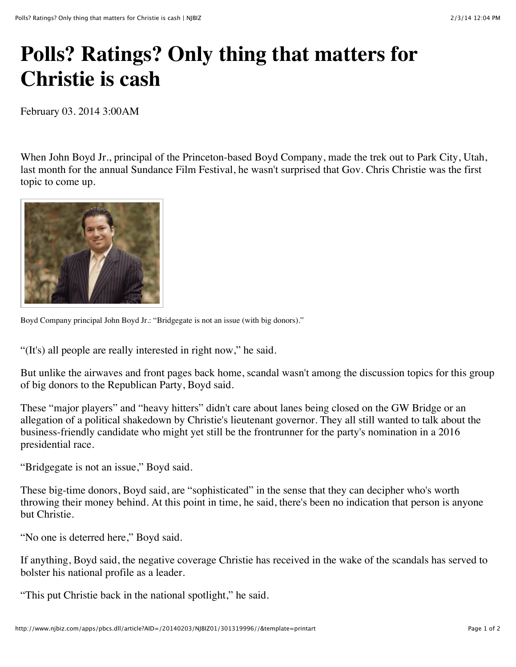## **Polls? Ratings? Only thing that matters for Christie is cash**

February 03. 2014 3:00AM

When John Boyd Jr., principal of the Princeton-based Boyd Company, made the trek out to Park City, Utah, last month for the annual Sundance Film Festival, he wasn't surprised that Gov. Chris Christie was the first topic to come up.



Boyd Company principal John Boyd Jr.: "Bridgegate is not an issue (with big donors)."

"(It's) all people are really interested in right now," he said.

But unlike the airwaves and front pages back home, scandal wasn't among the discussion topics for this group of big donors to the Republican Party, Boyd said.

These "major players" and "heavy hitters" didn't care about lanes being closed on the GW Bridge or an allegation of a political shakedown by Christie's lieutenant governor. They all still wanted to talk about the business-friendly candidate who might yet still be the frontrunner for the party's nomination in a 2016 presidential race.

"Bridgegate is not an issue," Boyd said.

These big-time donors, Boyd said, are "sophisticated" in the sense that they can decipher who's worth throwing their money behind. At this point in time, he said, there's been no indication that person is anyone but Christie.

"No one is deterred here," Boyd said.

If anything, Boyd said, the negative coverage Christie has received in the wake of the scandals has served to bolster his national profile as a leader.

"This put Christie back in the national spotlight," he said.